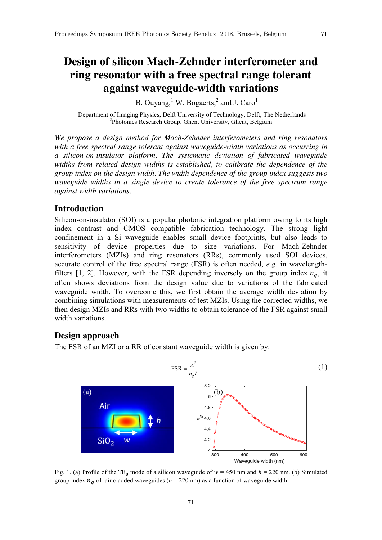# **Design of silicon Mach-Zehnder interferometer and ring resonator with a free spectral range tolerant against waveguide-width variations**

B. Ouyang,  $^1$  W. Bogaerts,  $^2$  and J. Caro $^1$ 

<sup>1</sup>Department of Imaging Physics, Delft University of Technology, Delft, The Netherlands<br><sup>2</sup>Photonias Bassarsh Group, Ghort University, Ghort Polaium <sup>2</sup>Photonics Research Group, Ghent University, Ghent, Belgium

*We propose a design method for Mach-Zehnder interferometers and ring resonators with a free spectral range tolerant against waveguide-width variations as occurring in a silicon-on-insulator platform. The systematic deviation of fabricated waveguide widths from related design widths is established, to calibrate the dependence of the group index on the design width. The width dependence of the group index suggests two waveguide widths in a single device to create tolerance of the free spectrum range against width variations.*

# **Introduction**

Silicon-on-insulator (SOI) is a popular photonic integration platform owing to its high index contrast and CMOS compatible fabrication technology. The strong light confinement in a Si waveguide enables small device footprints, but also leads to sensitivity of device properties due to size variations. For Mach-Zehnder interferometers (MZIs) and ring resonators (RRs), commonly used SOI devices, accurate control of the free spectral range (FSR) is often needed, *e.g.* in wavelengthfilters [1, 2]. However, with the FSR depending inversely on the group index  $n<sub>g</sub>$ , it often shows deviations from the design value due to variations of the fabricated waveguide width. To overcome this, we first obtain the average width deviation by combining simulations with measurements of test MZIs. Using the corrected widths, we then design MZIs and RRs with two widths to obtain tolerance of the FSR against small width variations.

## **Design approach**

The FSR of an MZI or a RR of constant waveguide width is given by:



Fig. 1. (a) Profile of the TE<sub>0</sub> mode of a silicon waveguide of  $w = 450$  nm and  $h = 220$  nm. (b) Simulated group index  $n_a$  of air cladded waveguides ( $h = 220$  nm) as a function of waveguide width.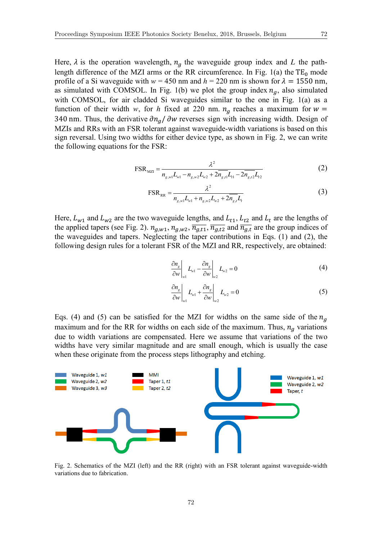Here,  $\lambda$  is the operation wavelength,  $n<sub>q</sub>$  the waveguide group index and *L* the pathlength difference of the MZI arms or the RR circumference. In Fig. 1(a) the  $TE_0$  mode profile of a Si waveguide with  $w = 450$  nm and  $h = 220$  nm is shown for  $\lambda = 1550$  nm, as simulated with COMSOL. In Fig. 1(b) we plot the group index  $n<sub>g</sub>$ , also simulated with COMSOL, for air cladded Si waveguides similar to the one in Fig. 1(a) as a function of their width *w*, for *h* fixed at 220 nm.  $n_a$  reaches a maximum for  $w =$ 340 nm. Thus, the derivative  $\partial n_a/\partial w$  reverses sign with increasing width. Design of MZIs and RRs with an FSR tolerant against waveguide-width variations is based on this sign reversal. Using two widths for either device type, as shown in Fig. 2, we can write the following equations for the FSR:

$$
FSR_{MZI} = \frac{\lambda^2}{n_{g,w1}L_{w1} - n_{g,w2}L_{w2} + 2n_{g,I}L_{t1} - 2n_{g,I2}L_{t2}}
$$
(2)

$$
FSR_{RR} = \frac{\lambda^2}{n_{g,w}L_{w1} + n_{g,w}L_{w2} + 2n_{g,I}L_t}
$$
(3)

Here,  $L_{w1}$  and  $L_{w2}$  are the two waveguide lengths, and  $L_{t1}$ ,  $L_{t2}$  and  $L_t$  are the lengths of the applied tapers (see Fig. 2).  $n_{g,w1}$ ,  $n_{g,w2}$ ,  $\overline{n_{g,t1}}$ ,  $\overline{n_{g,t2}}$  and  $\overline{n_{g,t}}$  are the group indices of the waveguides and tapers. Neglecting the taper contributions in Eqs. (1) and (2), the following design rules for a tolerant FSR of the MZI and RR, respectively, are obtained:

$$
\left. \frac{\partial n_g}{\partial w} \right|_{w1} L_{w1} - \left. \frac{\partial n_g}{\partial w} \right|_{w2} L_{w2} = 0 \tag{4}
$$

$$
\left. \frac{\partial n_g}{\partial w} \right|_{w1} L_{w1} + \left. \frac{\partial n_g}{\partial w} \right|_{w2} L_{w2} = 0 \tag{5}
$$

Eqs. (4) and (5) can be satisfied for the MZI for widths on the same side of the  $n<sub>q</sub>$ maximum and for the RR for widths on each side of the maximum. Thus,  $n_a$  variations due to width variations are compensated. Here we assume that variations of the two widths have very similar magnitude and are small enough, which is usually the case when these originate from the process steps lithography and etching.



Fig. 2. Schematics of the MZI (left) and the RR (right) with an FSR tolerant against waveguide-width variations due to fabrication.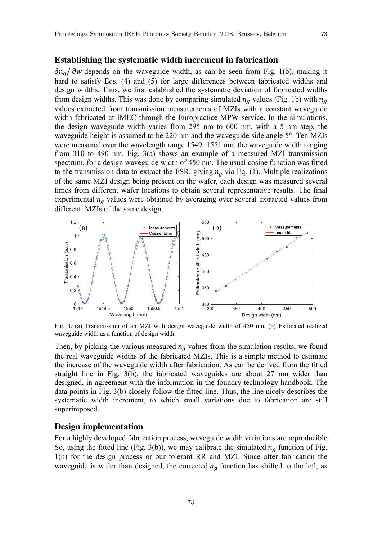#### **Establishing the systematic width increment in fabrication**

 $\partial n_q$   $\partial w$  depends on the waveguide width, as can be seen from Fig. 1(b), making it hard to satisfy Eqs. (4) and (5) for large differences between fabricated widths and design widths. Thus, we first established the systematic deviation of fabricated widths from design widths. This was done by comparing simulated  $n_a$  values (Fig. 1b) with  $n_a$ values extracted from transmission measurements of MZIs with a constant waveguide width fabricated at IMEC through the Europractice MPW service. In the simulations, the design waveguide width varies from 295 nm to 600 nm, with a 5 nm step, the waveguide height is assumed to be 220 nm and the waveguide side angle 5°. Ten MZIs were measured over the wavelength range 1549–1551 nm, the waveguide width ranging from 310 to 490 nm. Fig. 3(a) shows an example of a measured MZI transmission spectrum, for a design waveguide width of 450 nm. The usual cosine function was fitted to the transmission data to extract the FSR, giving  $n_a$  via Eq. (1). Multiple realizations of the same MZI design being present on the wafer, each design was measured several times from different wafer locations to obtain several representative results. The final experimental  $n_q$  values were obtained by averaging over several extracted values from different MZIs of the same design.



Fig. 3. (a) Transmission of an MZI with design waveguide width of 450 nm. (b) Estimated realized waveguide width as a function of design width.

Then, by picking the various measured  $n_a$  values from the simulation results, we found the real waveguide widths of the fabricated MZIs. This is a simple method to estimate the increase of the waveguide width after fabrication. As can be derived from the fitted straight line in Fig. 3(b), the fabricated waveguides are about 27 nm wider than designed, in agreement with the information in the foundry technology handbook. The data points in Fig. 3(b) closely follow the fitted line. Thus, the line nicely describes the systematic width increment, to which small variations due to fabrication are still superimposed.

## **Design implementation**

For a highly developed fabrication process, waveguide width variations are reproducible. So, using the fitted line (Fig. 3(b)), we may calibrate the simulated  $n_a$  function of Fig. 1(b) for the design process or our tolerant RR and MZI. Since after fabrication the waveguide is wider than designed, the corrected  $n<sub>q</sub>$  function has shifted to the left, as